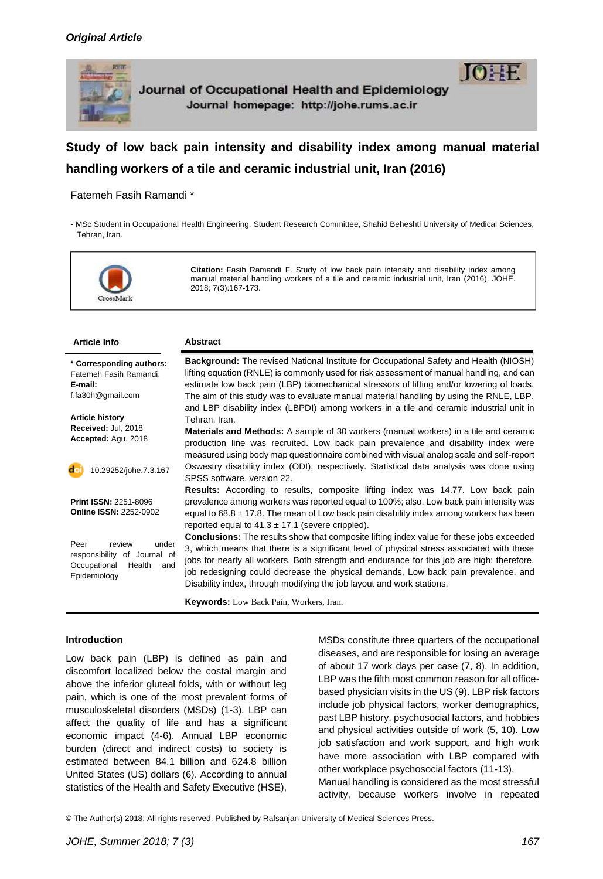

# **Study of low back pain intensity and disability index among [manual material](http://onlinelibrary.wiley.com/doi/10.1002/14651858.CD005958.pub2/full)  [handling](http://onlinelibrary.wiley.com/doi/10.1002/14651858.CD005958.pub2/full) workers of a tile and ceramic industrial unit, Iran (2016)**

## Fatemeh Fasih Ramandi \*

- MSc Student in Occupational Health Engineering, Student Research Committee, Shahid Beheshti University of Medical Sciences, Tehran, Iran.



**Citation:** Fasih Ramandi F. Study of low back pain intensity and disability index among [manual material handling](http://onlinelibrary.wiley.com/doi/10.1002/14651858.CD005958.pub2/full) workers of a tile and ceramic industrial unit, Iran (2016). JOHE. 2018; 7(3):167-173.

| <b>Article Info</b>                                                                                      | <b>Abstract</b>                                                                                                                                                                                                                                                                                                                                                                                                                                                     |
|----------------------------------------------------------------------------------------------------------|---------------------------------------------------------------------------------------------------------------------------------------------------------------------------------------------------------------------------------------------------------------------------------------------------------------------------------------------------------------------------------------------------------------------------------------------------------------------|
| * Corresponding authors:<br>Fatemeh Fasih Ramandi,<br>E-mail:<br>f.fa30h@gmail.com                       | Background: The revised National Institute for Occupational Safety and Health (NIOSH)<br>lifting equation (RNLE) is commonly used for risk assessment of manual handling, and can<br>estimate low back pain (LBP) biomechanical stressors of lifting and/or lowering of loads.<br>The aim of this study was to evaluate manual material handling by using the RNLE, LBP,<br>and LBP disability index (LBPDI) among workers in a tile and ceramic industrial unit in |
| <b>Article history</b><br>Received: Jul, 2018<br>Accepted: Agu, 2018                                     | Tehran, Iran.<br><b>Materials and Methods:</b> A sample of 30 workers (manual workers) in a tile and ceramic<br>production line was recruited. Low back pain prevalence and disability index were<br>measured using body map questionnaire combined with visual analog scale and self-report                                                                                                                                                                        |
| do<br>10.29252/johe.7.3.167                                                                              | Oswestry disability index (ODI), respectively. Statistical data analysis was done using<br>SPSS software, version 22.<br><b>Results:</b> According to results, composite lifting index was 14.77. Low back pain                                                                                                                                                                                                                                                     |
| <b>Print ISSN: 2251-8096</b><br><b>Online ISSN: 2252-0902</b>                                            | prevalence among workers was reported equal to 100%; also, Low back pain intensity was<br>equal to $68.8 \pm 17.8$ . The mean of Low back pain disability index among workers has been<br>reported equal to $41.3 \pm 17.1$ (severe crippled).                                                                                                                                                                                                                      |
| Peer<br>review<br>under<br>responsibility of Journal of<br>Occupational<br>Health<br>and<br>Epidemiology | <b>Conclusions:</b> The results show that composite lifting index value for these jobs exceeded<br>3, which means that there is a significant level of physical stress associated with these<br>jobs for nearly all workers. Both strength and endurance for this job are high; therefore,<br>job redesigning could decrease the physical demands, Low back pain prevalence, and<br>Disability index, through modifying the job layout and work stations.           |
|                                                                                                          | Keywords: Low Back Pain, Workers, Iran.                                                                                                                                                                                                                                                                                                                                                                                                                             |

#### **Introduction**

Low back pain (LBP) is defined as pain and discomfort localized below the costal margin and above the inferior gluteal folds, with or without leg pain, which is one of the most prevalent forms of musculoskeletal disorders (MSDs) [\(1-3\)](#page-5-0). LBP can affect the quality of life and has a significant economic impact [\(4-6\)](#page-5-1). Annual LBP economic burden (direct and indirect costs) to society is estimated between 84.1 billion and 624.8 billion United States (US) dollars [\(6\)](#page-5-2). According to annual statistics of the Health and Safety Executive (HSE),

MSDs constitute three quarters of the occupational diseases, and are responsible for losing an average of about 17 work days per case [\(7,](#page-5-3) [8\)](#page-5-4). In addition, LBP was the fifth most common reason for all officebased physician visits in the US [\(9\)](#page-5-5). LBP risk factors include job physical factors, worker demographics, past LBP history, psychosocial factors, and hobbies and physical activities outside of work [\(5,](#page-5-6) [10\)](#page-5-7). Low job satisfaction and work support, and high work have more association with LBP compared with other workplace psychosocial factors [\(11-13\)](#page-5-8). Manual handling is considered as the most stressful activity, because workers involve in repeated

© The Author(s) 2018; All rights reserved. Published by Rafsanjan University of Medical Sciences Press.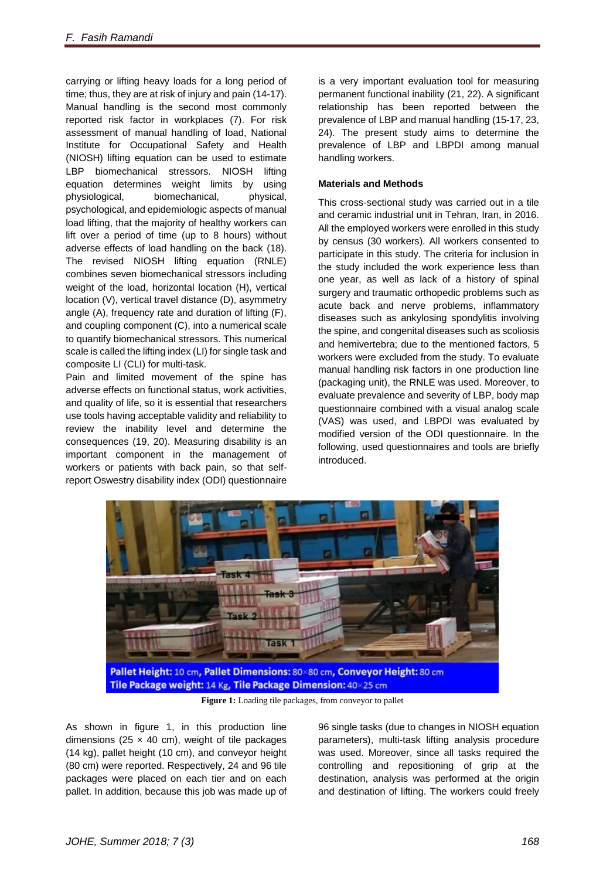carrying or lifting heavy loads for a long period of time; thus, they are at risk of injury and pain [\(14-17\)](#page-5-9). Manual handling is the second most commonly reported risk factor in workplaces [\(7\)](#page-5-3). For risk assessment of manual handling of load, National Institute for Occupational Safety and Health (NIOSH) lifting equation can be used to estimate LBP biomechanical stressors. NIOSH lifting equation determines weight limits by using physiological, biomechanical, physical, psychological, and epidemiologic aspects of manual load lifting, that the majority of healthy workers can lift over a period of time (up to 8 hours) without adverse effects of load handling on the back [\(18\)](#page-6-0). The revised NIOSH lifting equation (RNLE) combines seven biomechanical stressors including weight of the load, horizontal location (H), vertical location (V), vertical travel distance (D), asymmetry angle (A), frequency rate and duration of lifting (F), and coupling component (C), into a numerical scale to quantify biomechanical stressors. This numerical scale is called the lifting index (LI) for single task and composite LI (CLI) for multi-task.

Pain and limited movement of the spine has adverse effects on functional status, work activities, and quality of life, so it is essential that researchers use tools having acceptable validity and reliability to review the inability level and determine the consequences [\(19,](#page-6-1) [20\)](#page-6-2). Measuring disability is an important component in the management of workers or patients with back pain, so that selfreport Oswestry disability index (ODI) questionnaire

is a very important evaluation tool for measuring permanent functional inability [\(21,](#page-6-3) [22\)](#page-6-4). A significant relationship has been reported between the prevalence of LBP and manual handling [\(15-17,](#page-5-10) [23,](#page-6-5) [24\)](#page-6-6). The present study aims to determine the prevalence of LBP and LBPDI among manual handling workers.

# **Materials and Methods**

This cross-sectional study was carried out in a tile and ceramic industrial unit in Tehran, Iran, in 2016. All the employed workers were enrolled in this study by census (30 workers). All workers consented to participate in this study. The criteria for inclusion in the study included the work experience less than one year, as well as lack of a history of spinal surgery and traumatic orthopedic problems such as acute back and nerve problems, inflammatory diseases such as ankylosing spondylitis involving the spine, and congenital diseases such as scoliosis and hemivertebra; due to the mentioned factors, 5 workers were excluded from the study. To evaluate manual handling risk factors in one production line (packaging unit), the RNLE was used. Moreover, to evaluate prevalence and severity of LBP, body map questionnaire combined with a visual analog scale (VAS) was used, and LBPDI was evaluated by modified version of the ODI questionnaire. In the following, used questionnaires and tools are briefly introduced.



**Figure 1:** Loading tile packages, from conveyor to pallet

As shown in figure 1, in this production line dimensions (25  $\times$  40 cm), weight of tile packages (14 kg), pallet height (10 cm), and conveyor height (80 cm) were reported. Respectively, 24 and 96 tile packages were placed on each tier and on each pallet. In addition, because this job was made up of 96 single tasks (due to changes in NIOSH equation parameters), multi-task lifting analysis procedure was used. Moreover, since all tasks required the controlling and repositioning of grip at the destination, analysis was performed at the origin and destination of lifting. The workers could freely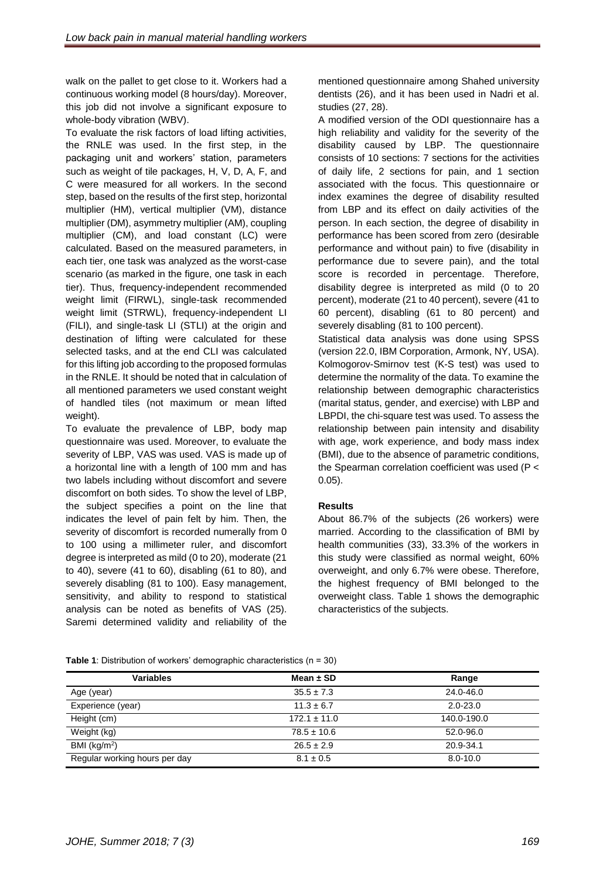walk on the pallet to get close to it. Workers had a continuous working model (8 hours/day). Moreover, this job did not involve a significant exposure to whole-body vibration (WBV).

To evaluate the risk factors of load lifting activities, the RNLE was used. In the first step, in the packaging unit and workers' station, parameters such as weight of tile packages, H, V, D, A, F, and C were measured for all workers. In the second step, based on the results of the first step, horizontal multiplier (HM), vertical multiplier (VM), distance multiplier (DM), asymmetry multiplier (AM), coupling multiplier (CM), and load constant (LC) were calculated. Based on the measured parameters, in each tier, one task was analyzed as the worst-case scenario (as marked in the figure, one task in each tier). Thus, frequency-independent recommended weight limit (FIRWL), single-task recommended weight limit (STRWL), frequency-independent LI (FILI), and single-task LI (STLI) at the origin and destination of lifting were calculated for these selected tasks, and at the end CLI was calculated for this lifting job according to the proposed formulas in the RNLE. It should be noted that in calculation of all mentioned parameters we used constant weight of handled tiles (not maximum or mean lifted weight).

To evaluate the prevalence of LBP, body map questionnaire was used. Moreover, to evaluate the severity of LBP, VAS was used. VAS is made up of a horizontal line with a length of 100 mm and has two labels including without discomfort and severe discomfort on both sides. To show the level of LBP, the subject specifies a point on the line that indicates the level of pain felt by him. Then, the severity of discomfort is recorded numerally from 0 to 100 using a millimeter ruler, and discomfort degree is interpreted as mild (0 to 20), moderate (21 to 40), severe (41 to 60), disabling (61 to 80), and severely disabling (81 to 100). Easy management, sensitivity, and ability to respond to statistical analysis can be noted as benefits of VAS [\(25\)](#page-6-7). Saremi determined validity and reliability of the

mentioned questionnaire among Shahed university dentists [\(26\)](#page-6-8), and it has been used in Nadri et al. studies [\(27,](#page-6-9) [28\)](#page-6-10).

A modified version of the ODI questionnaire has a high reliability and validity for the severity of the disability caused by LBP. The questionnaire consists of 10 sections: 7 sections for the activities of daily life, 2 sections for pain, and 1 section associated with the focus. This questionnaire or index examines the degree of disability resulted from LBP and its effect on daily activities of the person. In each section, the degree of disability in performance has been scored from zero (desirable performance and without pain) to five (disability in performance due to severe pain), and the total score is recorded in percentage. Therefore, disability degree is interpreted as mild (0 to 20 percent), moderate (21 to 40 percent), severe (41 to 60 percent), disabling (61 to 80 percent) and severely disabling (81 to 100 percent). Statistical data analysis was done using SPSS (version 22.0, IBM Corporation, Armonk, NY, USA). Kolmogorov-Smirnov test (K-S test) was used to determine the normality of the data. To examine the relationship between demographic characteristics (marital status, gender, and exercise) with LBP and LBPDI, the chi-square test was used. To assess the relationship between pain intensity and disability with age, work experience, and body mass index (BMI), due to the absence of parametric conditions, the Spearman correlation coefficient was used (P <

# **Results**

0.05).

About 86.7% of the subjects (26 workers) were married. According to the classification of BMI by health communities (33), 33.3% of the workers in this study were classified as normal weight, 60% overweight, and only 6.7% were obese. Therefore, the highest frequency of BMI belonged to the overweight class. Table 1 shows the demographic characteristics of the subjects.

| <b>Table 1</b> : Distribution of workers' demographic characteristics $(n = 30)$ |  |  |  |
|----------------------------------------------------------------------------------|--|--|--|
|----------------------------------------------------------------------------------|--|--|--|

| <b>Variables</b>              | Mean $\pm$ SD    | Range        |
|-------------------------------|------------------|--------------|
| Age (year)                    | $35.5 \pm 7.3$   | 24.0-46.0    |
| Experience (year)             | $11.3 \pm 6.7$   | $2.0 - 23.0$ |
| Height (cm)                   | $172.1 \pm 11.0$ | 140.0-190.0  |
| Weight (kg)                   | $78.5 \pm 10.6$  | 52.0-96.0    |
| BMI $(kg/m2)$                 | $26.5 \pm 2.9$   | 20.9-34.1    |
| Regular working hours per day | $8.1 \pm 0.5$    | $8.0 - 10.0$ |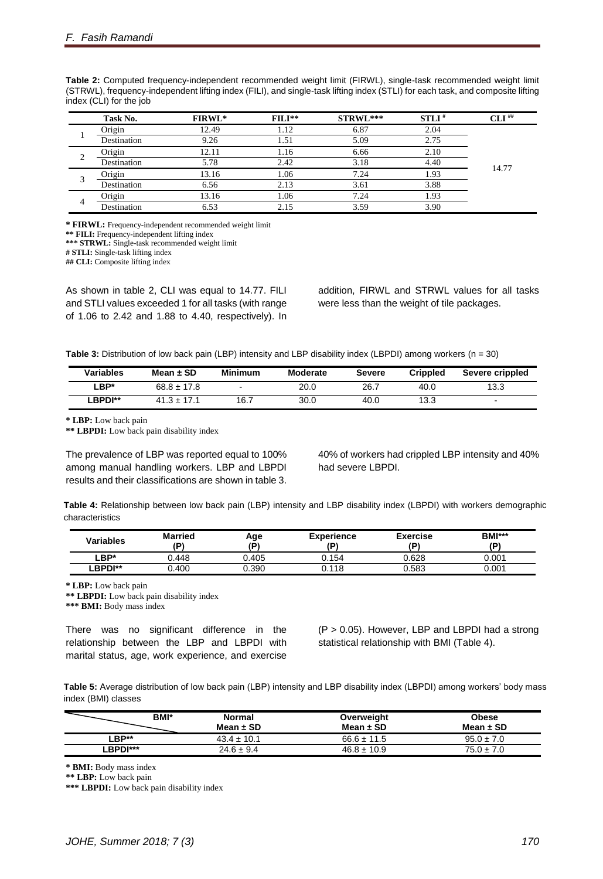|        | Task No.      | FIRWL* | $FILI**$ | STRWL*** | $STLI^*$ | $CLI^{\#}$ |
|--------|---------------|--------|----------|----------|----------|------------|
|        | Origin        | 12.49  | 1.12     | 6.87     | 2.04     |            |
|        | Destination   | 9.26   | 1.51     | 5.09     | 2.75     |            |
|        | <b>Origin</b> | 12.11  | 1.16     | 6.66     | 2.10     |            |
| ∠      | Destination   | 5.78   | 2.42     | 3.18     | 4.40     | 14.77      |
| $\sim$ | Origin        | 13.16  | 1.06     | 7.24     | 1.93     |            |
|        | Destination   | 6.56   | 2.13     | 3.61     | 3.88     |            |
|        | Origin        | 13.16  | 1.06     | 7.24     | 1.93     |            |
| 4      | Destination   | 6.53   | 2.15     | 3.59     | 3.90     |            |

**Table 2:** Computed frequency-independent recommended weight limit (FIRWL), single-task recommended weight limit (STRWL), frequency-independent lifting index (FILI), and single-task lifting index (STLI) for each task, and composite lifting index (CLI) for the job

**\* FIRWL:** Frequency-independent recommended weight limit

**\*\* FILI:** Frequency-independent lifting index

**\*\*\* STRWL:** Single-task recommended weight limit

**# STLI:** Single-task lifting index

**## CLI:** Composite lifting index

As shown in table 2, CLI was equal to 14.77. FILI and STLI values exceeded 1 for all tasks (with range of 1.06 to 2.42 and 1.88 to 4.40, respectively). In addition, FIRWL and STRWL values for all tasks were less than the weight of tile packages.

**Table 3:** Distribution of low back pain (LBP) intensity and LBP disability index (LBPDI) among workers (n = 30)

| Variables | Mean $\pm$ SD   | <b>Minimum</b> | <b>Moderate</b> | <b>Severe</b> | <b>Crippled</b> | Severe crippled |
|-----------|-----------------|----------------|-----------------|---------------|-----------------|-----------------|
| ∟BP*      | $68.8 \pm 17.8$ |                | 20.0            | 26.7          | 40.0            | 13.3            |
| ∟BPDI**   | $41.3 \pm 17.1$ | 16.7           | 30.0            | 40.0          | 13.3            |                 |

**\* LBP:** Low back pain

**\*\* LBPDI:** Low back pain disability index

The prevalence of LBP was reported equal to 100% among manual handling workers. LBP and LBPDI results and their classifications are shown in table 3.

40% of workers had crippled LBP intensity and 40% had severe LBPDI.

**Table 4:** Relationship between low back pain (LBP) intensity and LBP disability index (LBPDI) with workers demographic characteristics

| Variables | <b>Married</b><br>D١ | Age<br>ΙD١ | <b>Experience</b><br>(P) | <b>Exercise</b><br>ΙD١ | BMI***<br>۵I) |
|-----------|----------------------|------------|--------------------------|------------------------|---------------|
| ∟BP*      | 0.448                | 0.405      | 154.د                    | 0.628                  | 0.001         |
| -BPDI**   | 0.400                | 390.ر      | 0.118                    | 0.583                  | 0.001         |

**\* LBP:** Low back pain

**\*\* LBPDI:** Low back pain disability index

**\*\*\* BMI:** Body mass index

There was no significant difference in the relationship between the LBP and LBPDI with marital status, age, work experience, and exercise

(P > 0.05). However, LBP and LBPDI had a strong statistical relationship with BMI (Table 4).

**Table 5:** Average distribution of low back pain (LBP) intensity and LBP disability index (LBPDI) among workers' body mass index (BMI) classes

| <b>BMI*</b>     | <b>Normal</b><br>Mean $\pm$ SD | Overweight<br>Mean $\pm$ SD | <b>Obese</b><br>Mean $\pm$ SD |
|-----------------|--------------------------------|-----------------------------|-------------------------------|
| ∟BP**           | $43.4 \pm 10.1$                | $66.6 \pm 11.5$             | $95.0 \pm 7.0$                |
| <b>LBPDI***</b> | $24.6 \pm 9.4$                 | $46.8 \pm 10.9$             | $75.0 \pm 7.0$                |

**\* BMI:** Body mass index

**\*\* LBP:** Low back pain

**\*\*\* LBPDI:** Low back pain disability index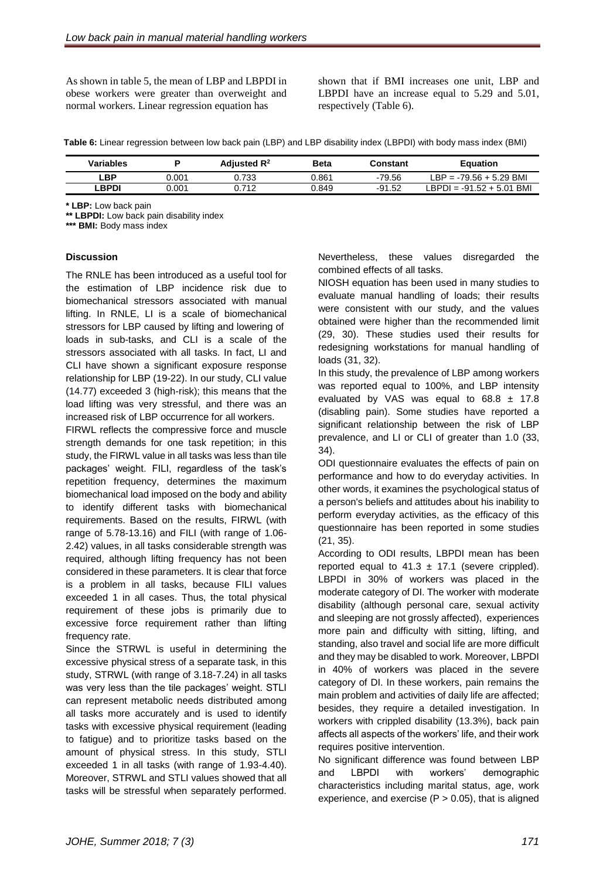As shown in table 5, the mean of LBP and LBPDI in obese workers were greater than overweight and normal workers. Linear regression equation has

shown that if BMI increases one unit, LBP and LBPDI have an increase equal to 5.29 and 5.01, respectively (Table 6).

**Table 6:** Linear regression between low back pain (LBP) and LBP disability index (LBPDI) with body mass index (BMI)

| Variables |       | Adjusted $R^2$ | <b>Beta</b> | Constant | Equation                           |
|-----------|-------|----------------|-------------|----------|------------------------------------|
| ∟BP       | 0.001 | ).733          | 1.861       | -79.56   | LBP = -79.56 + 5.29 BMI            |
| _BPDI     | 0.001 | .712           | 849.ر       | $-91.52$ | BMI<br>. RPDI =<br>$-91.52 + 5.01$ |

**\* LBP:** Low back pain

**\*\* LBPDI:** Low back pain disability index

**\*\*\* BMI:** Body mass index

#### **Discussion**

The RNLE has been introduced as a useful tool for the estimation of LBP incidence risk due to biomechanical stressors associated with manual lifting. In RNLE, LI is a scale of biomechanical stressors for LBP caused by lifting and lowering of loads in sub-tasks, and CLI is a scale of the stressors associated with all tasks. In fact, LI and CLI have shown a significant exposure response relationship for LBP (19-22). In our study, CLI value (14.77) exceeded 3 (high-risk); this means that the load lifting was very stressful, and there was an increased risk of LBP occurrence for all workers.

FIRWL reflects the compressive force and muscle strength demands for one task repetition; in this study, the FIRWL value in all tasks was less than tile packages' weight. FILI, regardless of the task's repetition frequency, determines the maximum biomechanical load imposed on the body and ability to identify different tasks with biomechanical requirements. Based on the results, FIRWL (with range of 5.78-13.16) and FILI (with range of 1.06- 2.42) values, in all tasks considerable strength was required, although lifting frequency has not been considered in these parameters. It is clear that force is a problem in all tasks, because FILI values exceeded 1 in all cases. Thus, the total physical requirement of these jobs is primarily due to excessive force requirement rather than lifting frequency rate.

Since the STRWL is useful in determining the excessive physical stress of a separate task, in this study, STRWL (with range of 3.18-7.24) in all tasks was very less than the tile packages' weight. STLI can represent metabolic needs distributed among all tasks more accurately and is used to identify tasks with excessive physical requirement (leading to fatigue) and to prioritize tasks based on the amount of physical stress. In this study, STLI exceeded 1 in all tasks (with range of 1.93-4.40). Moreover, STRWL and STLI values showed that all tasks will be stressful when separately performed. Nevertheless, these values disregarded the combined effects of all tasks.

NIOSH equation has been used in many studies to evaluate manual handling of loads; their results were consistent with our study, and the values obtained were higher than the recommended limit [\(29,](#page-6-11) [30\)](#page-6-12). These studies used their results for redesigning workstations for manual handling of loads [\(31,](#page-6-13) [32\)](#page-6-14).

In this study, the prevalence of LBP among workers was reported equal to 100%, and LBP intensity evaluated by VAS was equal to  $68.8 \pm 17.8$ (disabling pain). Some studies have reported a significant relationship between the risk of LBP prevalence, and LI or CLI of greater than 1.0 [\(33,](#page-6-15) [34\)](#page-6-16).

ODI questionnaire evaluates the effects of pain on performance and how to do everyday activities. In other words, it examines the psychological status of a person's beliefs and attitudes about his inability to perform everyday activities, as the efficacy of this questionnaire has been reported in some studies [\(21,](#page-6-3) [35\)](#page-6-17).

According to ODI results, LBPDI mean has been reported equal to  $41.3 \pm 17.1$  (severe crippled). LBPDI in 30% of workers was placed in the moderate category of DI. The worker with moderate disability (although personal care, sexual activity and sleeping are not grossly affected), experiences more pain and difficulty with sitting, lifting, and standing, also travel and social life are more difficult and they may be disabled to work. Moreover, LBPDI in 40% of workers was placed in the severe category of DI. In these workers, pain remains the main problem and activities of daily life are affected; besides, they require a detailed investigation. In workers with crippled disability (13.3%), back pain affects all aspects of the workers' life, and their work requires positive intervention.

No significant difference was found between LBP and LBPDI with workers' demographic characteristics including marital status, age, work experience, and exercise  $(P > 0.05)$ , that is aligned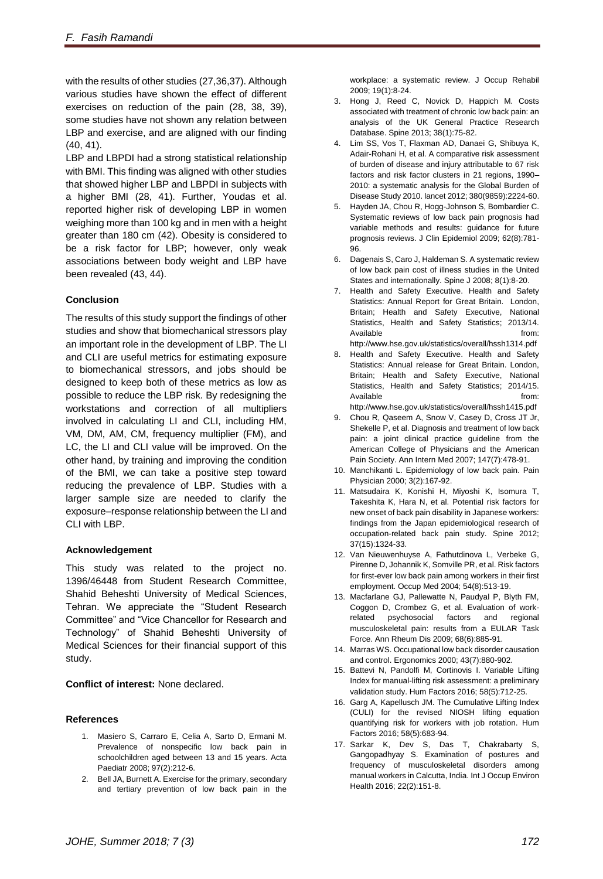with the results of other studies [\(27](#page-6-9)[,36](#page-6-18)[,37\)](#page-6-19). Although various studies have shown the effect of different exercises on reduction of the pain [\(28,](#page-6-10) [38,](#page-6-20) [39\)](#page-6-21), some studies have not shown any relation between LBP and exercise, and are aligned with our finding [\(40,](#page-6-22) [41\)](#page-6-23).

LBP and LBPDI had a strong statistical relationship with BMI. This finding was aligned with other studies that showed higher LBP and LBPDI in subjects with a higher BMI [\(28,](#page-6-10) 41). Further, Youdas et al. reported higher risk of developing LBP in women weighing more than 100 kg and in men with a height greater than 180 cm [\(42\)](#page-6-24). Obesity is considered to be a risk factor for LBP; however, only weak associations between body weight and LBP have been revealed [\(43,](#page-6-25) 44).

# **Conclusion**

The results of this study support the findings of other studies and show that biomechanical stressors play an important role in the development of LBP. The LI and CLI are useful metrics for estimating exposure to biomechanical stressors, and jobs should be designed to keep both of these metrics as low as possible to reduce the LBP risk. By redesigning the workstations and correction of all multipliers involved in calculating LI and CLI, including HM, VM, DM, AM, CM, frequency multiplier (FM), and LC, the LI and CLI value will be improved. On the other hand, by training and improving the condition of the BMI, we can take a positive step toward reducing the prevalence of LBP. Studies with a larger sample size are needed to clarify the exposure–response relationship between the LI and CLI with LBP.

## **Acknowledgement**

This study was related to the project no. 1396/46448 from Student Research Committee, Shahid Beheshti University of Medical Sciences, Tehran. We appreciate the "Student Research Committee" and "Vice Chancellor for Research and Technology" of Shahid Beheshti University of Medical Sciences for their financial support of this study.

## **Conflict of interest:** None declared.

## **References**

- <span id="page-5-0"></span>1. Masiero S, Carraro E, Celia A, Sarto D, Ermani M. Prevalence of nonspecific low back pain in schoolchildren aged between 13 and 15 years. Acta Paediatr 2008; 97(2):212-6.
- 2. Bell JA, Burnett A. Exercise for the primary, secondary and tertiary prevention of low back pain in the

workplace: a systematic review. J Occup Rehabil 2009; 19(1):8-24.

- 3. Hong J, Reed C, Novick D, Happich M. Costs associated with treatment of chronic low back pain: an analysis of the UK General Practice Research Database. Spine 2013; 38(1):75-82.
- <span id="page-5-1"></span>4. Lim SS, Vos T, Flaxman AD, Danaei G, Shibuya K, Adair-Rohani H, et al. A comparative risk assessment of burden of disease and injury attributable to 67 risk factors and risk factor clusters in 21 regions, 1990– 2010: a systematic analysis for the Global Burden of Disease Study 2010. lancet 2012; 380(9859):2224-60.
- <span id="page-5-6"></span>5. Hayden JA, Chou R, Hogg-Johnson S, Bombardier C. Systematic reviews of low back pain prognosis had variable methods and results: guidance for future prognosis reviews. J Clin Epidemiol 2009; 62(8):781- 96.
- <span id="page-5-2"></span>6. Dagenais S, Caro J, Haldeman S. A systematic review of low back pain cost of illness studies in the United States and internationally. Spine J 2008; 8(1):8-20.
- <span id="page-5-3"></span>7. Health and Safety Executive. Health and Safety Statistics: Annual Report for Great Britain. London, Britain; Health and Safety Executive, National Statistics, Health and Safety Statistics; 2013/14. Available from: http://www.hse.gov.uk/statistics/overall/hssh1314.pdf
- <span id="page-5-4"></span>8. Health and Safety Executive. Health and Safety Statistics: Annual release for Great Britain. London, Britain; Health and Safety Executive, National Statistics, Health and Safety Statistics; 2014/15. Available from:
- <span id="page-5-5"></span>http://www.hse.gov.uk/statistics/overall/hssh1415.pdf 9. Chou R, Qaseem A, Snow V, Casey D, Cross JT Jr, Shekelle P, et al. Diagnosis and treatment of low back pain: a joint clinical practice guideline from the American College of Physicians and the American Pain Society. Ann Intern Med 2007; 147(7):478-91.
- <span id="page-5-7"></span>10. Manchikanti L. Epidemiology of low back pain. Pain Physician 2000; 3(2):167-92.
- <span id="page-5-8"></span>11. Matsudaira K, Konishi H, Miyoshi K, Isomura T, Takeshita K, Hara N, et al. Potential risk factors for new onset of back pain disability in Japanese workers: findings from the Japan epidemiological research of occupation-related back pain study. Spine 2012; 37(15):1324-33.
- 12. Van Nieuwenhuyse A, Fathutdinova L, Verbeke G, Pirenne D, Johannik K, Somville PR, et al. Risk factors for first-ever low back pain among workers in their first employment. Occup Med 2004; 54(8):513-19.
- 13. Macfarlane GJ, Pallewatte N, Paudyal P, Blyth FM, Coggon D, Crombez G, et al. Evaluation of workrelated psychosocial factors and regional musculoskeletal pain: results from a EULAR Task Force. Ann Rheum Dis 2009; 68(6):885-91.
- <span id="page-5-9"></span>14. Marras WS. Occupational low back disorder causation and control. Ergonomics 2000; 43(7):880-902.
- <span id="page-5-10"></span>15. Battevi N, Pandolfi M, Cortinovis I. Variable Lifting Index for manual-lifting risk assessment: a preliminary validation study. Hum Factors 2016; 58(5):712-25.
- 16. Garg A, Kapellusch JM. The Cumulative Lifting Index (CULI) for the revised NIOSH lifting equation quantifying risk for workers with job rotation. Hum Factors 2016; 58(5):683-94.
- 17. Sarkar K, Dev S, Das T, Chakrabarty S, Gangopadhyay S. Examination of postures and frequency of musculoskeletal disorders among manual workers in Calcutta, India. Int J Occup Environ Health 2016; 22(2):151-8.